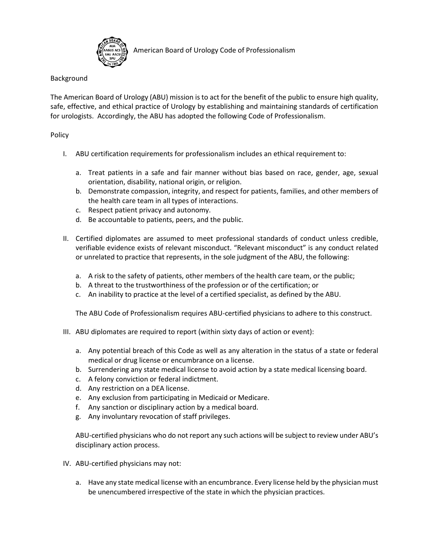

American Board of Urology Code of Professionalism

## Background

The American Board of Urology (ABU) mission is to act for the benefit of the public to ensure high quality, safe, effective, and ethical practice of Urology by establishing and maintaining standards of certification for urologists. Accordingly, the ABU has adopted the following Code of Professionalism.

## Policy

- I. ABU certification requirements for professionalism includes an ethical requirement to:
	- a. Treat patients in a safe and fair manner without bias based on race, gender, age, sexual orientation, disability, national origin, or religion.
	- b. Demonstrate compassion, integrity, and respect for patients, families, and other members of the health care team in all types of interactions.
	- c. Respect patient privacy and autonomy.
	- d. Be accountable to patients, peers, and the public.
- II. Certified diplomates are assumed to meet professional standards of conduct unless credible, verifiable evidence exists of relevant misconduct. "Relevant misconduct" is any conduct related or unrelated to practice that represents, in the sole judgment of the ABU, the following:
	- a. A risk to the safety of patients, other members of the health care team, or the public;
	- b. A threat to the trustworthiness of the profession or of the certification; or
	- c. An inability to practice at the level of a certified specialist, as defined by the ABU.

The ABU Code of Professionalism requires ABU-certified physicians to adhere to this construct.

- III. ABU diplomates are required to report (within sixty days of action or event):
	- a. Any potential breach of this Code as well as any alteration in the status of a state or federal medical or drug license or encumbrance on a license.
	- b. Surrendering any state medical license to avoid action by a state medical licensing board.
	- c. A felony conviction or federal indictment.
	- d. Any restriction on a DEA license.
	- e. Any exclusion from participating in Medicaid or Medicare.
	- f. Any sanction or disciplinary action by a medical board.
	- g. Any involuntary revocation of staff privileges.

ABU-certified physicians who do not report any such actions will be subject to review under ABU's disciplinary action process.

- IV. ABU-certified physicians may not:
	- a. Have any state medical license with an encumbrance. Every license held by the physician must be unencumbered irrespective of the state in which the physician practices.